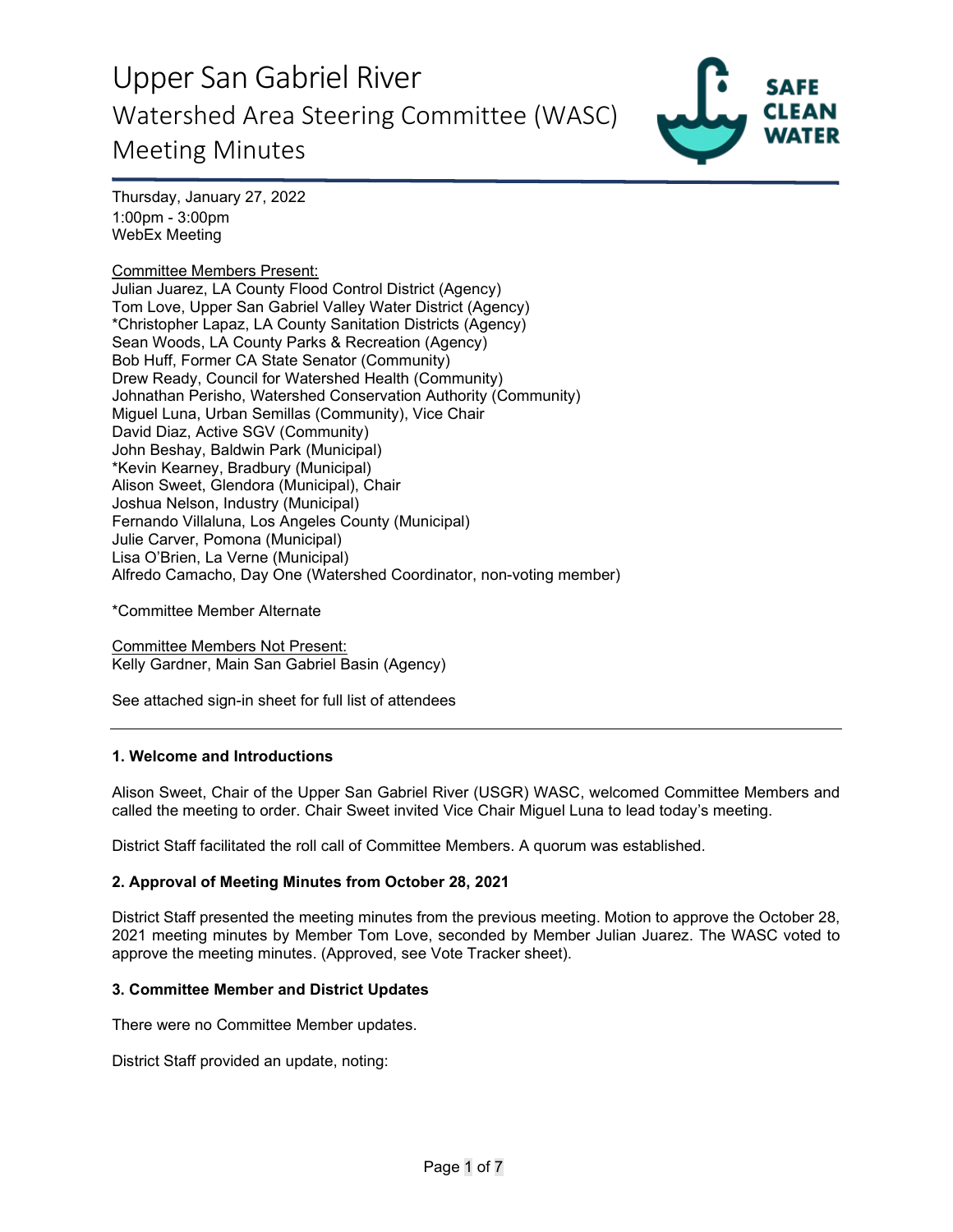

Thursday, January 27, 2022 1:00pm - 3:00pm WebEx Meeting

## Committee Members Present:

Julian Juarez, LA County Flood Control District (Agency) Tom Love, Upper San Gabriel Valley Water District (Agency) \*Christopher Lapaz, LA County Sanitation Districts (Agency) Sean Woods, LA County Parks & Recreation (Agency) Bob Huff, Former CA State Senator (Community) Drew Ready, Council for Watershed Health (Community) Johnathan Perisho, Watershed Conservation Authority (Community) Miguel Luna, Urban Semillas (Community), Vice Chair David Diaz, Active SGV (Community) John Beshay, Baldwin Park (Municipal) \*Kevin Kearney, Bradbury (Municipal) Alison Sweet, Glendora (Municipal), Chair Joshua Nelson, Industry (Municipal) Fernando Villaluna, Los Angeles County (Municipal) Julie Carver, Pomona (Municipal) Lisa O'Brien, La Verne (Municipal) Alfredo Camacho, Day One (Watershed Coordinator, non-voting member)

\*Committee Member Alternate

Committee Members Not Present: Kelly Gardner, Main San Gabriel Basin (Agency)

See attached sign-in sheet for full list of attendees

#### **1. Welcome and Introductions**

Alison Sweet, Chair of the Upper San Gabriel River (USGR) WASC, welcomed Committee Members and called the meeting to order. Chair Sweet invited Vice Chair Miguel Luna to lead today's meeting.

District Staff facilitated the roll call of Committee Members. A quorum was established.

#### **2. Approval of Meeting Minutes from October 28, 2021**

District Staff presented the meeting minutes from the previous meeting. Motion to approve the October 28, 2021 meeting minutes by Member Tom Love, seconded by Member Julian Juarez. The WASC voted to approve the meeting minutes. (Approved, see Vote Tracker sheet).

#### **3. Committee Member and District Updates**

There were no Committee Member updates.

District Staff provided an update, noting: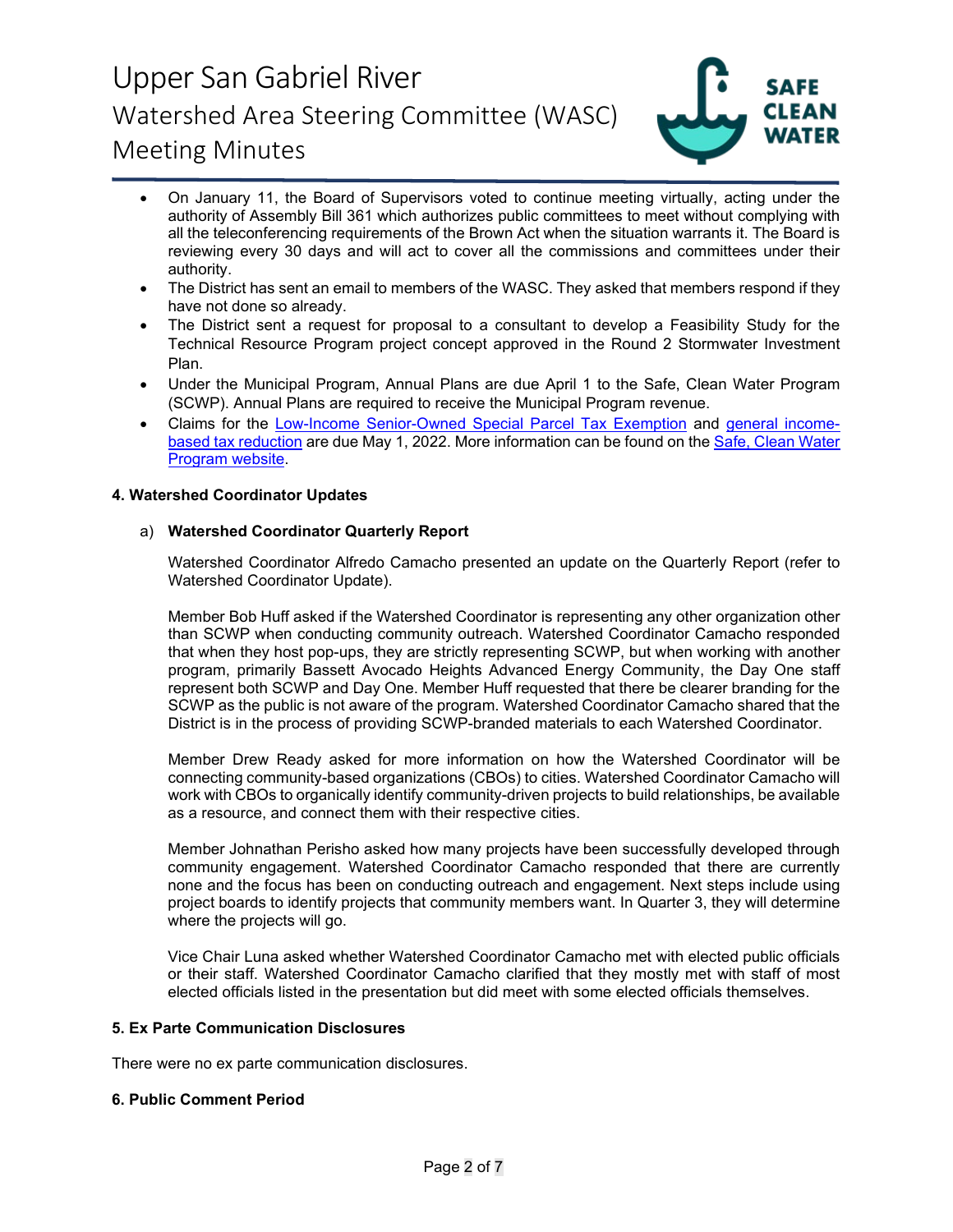

- On January 11, the Board of Supervisors voted to continue meeting virtually, acting under the authority of Assembly Bill 361 which authorizes public committees to meet without complying with all the teleconferencing requirements of the Brown Act when the situation warrants it. The Board is reviewing every 30 days and will act to cover all the commissions and committees under their authority.
- The District has sent an email to members of the WASC. They asked that members respond if they have not done so already.
- The District sent a request for proposal to a consultant to develop a Feasibility Study for the Technical Resource Program project concept approved in the Round 2 Stormwater Investment Plan.
- Under the Municipal Program, Annual Plans are due April 1 to the Safe, Clean Water Program (SCWP). Annual Plans are required to receive the Municipal Program revenue.
- Claims for the [Low-Income Senior-Owned Special Parcel Tax Exemption](https://safecleanwaterla.org/wp-content/uploads/2021/06/Low-Income-Senior-Owned-Parcel-Application-20210621.pdf) and [general income](https://safecleanwaterla.org/wp-content/uploads/2021/06/General-Income-Based-Tax-Reduction-Application-20210607.pdf)[based tax reduction](https://safecleanwaterla.org/wp-content/uploads/2021/06/General-Income-Based-Tax-Reduction-Application-20210607.pdf) are due May 1, 2022. More information can be found on the [Safe, Clean Water](https://safecleanwaterla.org/resources/tools/)  [Program website.](https://safecleanwaterla.org/resources/tools/)

### **4. Watershed Coordinator Updates**

### a) **Watershed Coordinator Quarterly Report**

Watershed Coordinator Alfredo Camacho presented an update on the Quarterly Report (refer to Watershed Coordinator Update).

Member Bob Huff asked if the Watershed Coordinator is representing any other organization other than SCWP when conducting community outreach. Watershed Coordinator Camacho responded that when they host pop-ups, they are strictly representing SCWP, but when working with another program, primarily Bassett Avocado Heights Advanced Energy Community, the Day One staff represent both SCWP and Day One. Member Huff requested that there be clearer branding for the SCWP as the public is not aware of the program. Watershed Coordinator Camacho shared that the District is in the process of providing SCWP-branded materials to each Watershed Coordinator.

Member Drew Ready asked for more information on how the Watershed Coordinator will be connecting community-based organizations (CBOs) to cities. Watershed Coordinator Camacho will work with CBOs to organically identify community-driven projects to build relationships, be available as a resource, and connect them with their respective cities.

Member Johnathan Perisho asked how many projects have been successfully developed through community engagement. Watershed Coordinator Camacho responded that there are currently none and the focus has been on conducting outreach and engagement. Next steps include using project boards to identify projects that community members want. In Quarter 3, they will determine where the projects will go.

Vice Chair Luna asked whether Watershed Coordinator Camacho met with elected public officials or their staff. Watershed Coordinator Camacho clarified that they mostly met with staff of most elected officials listed in the presentation but did meet with some elected officials themselves.

### **5. Ex Parte Communication Disclosures**

There were no ex parte communication disclosures.

#### **6. Public Comment Period**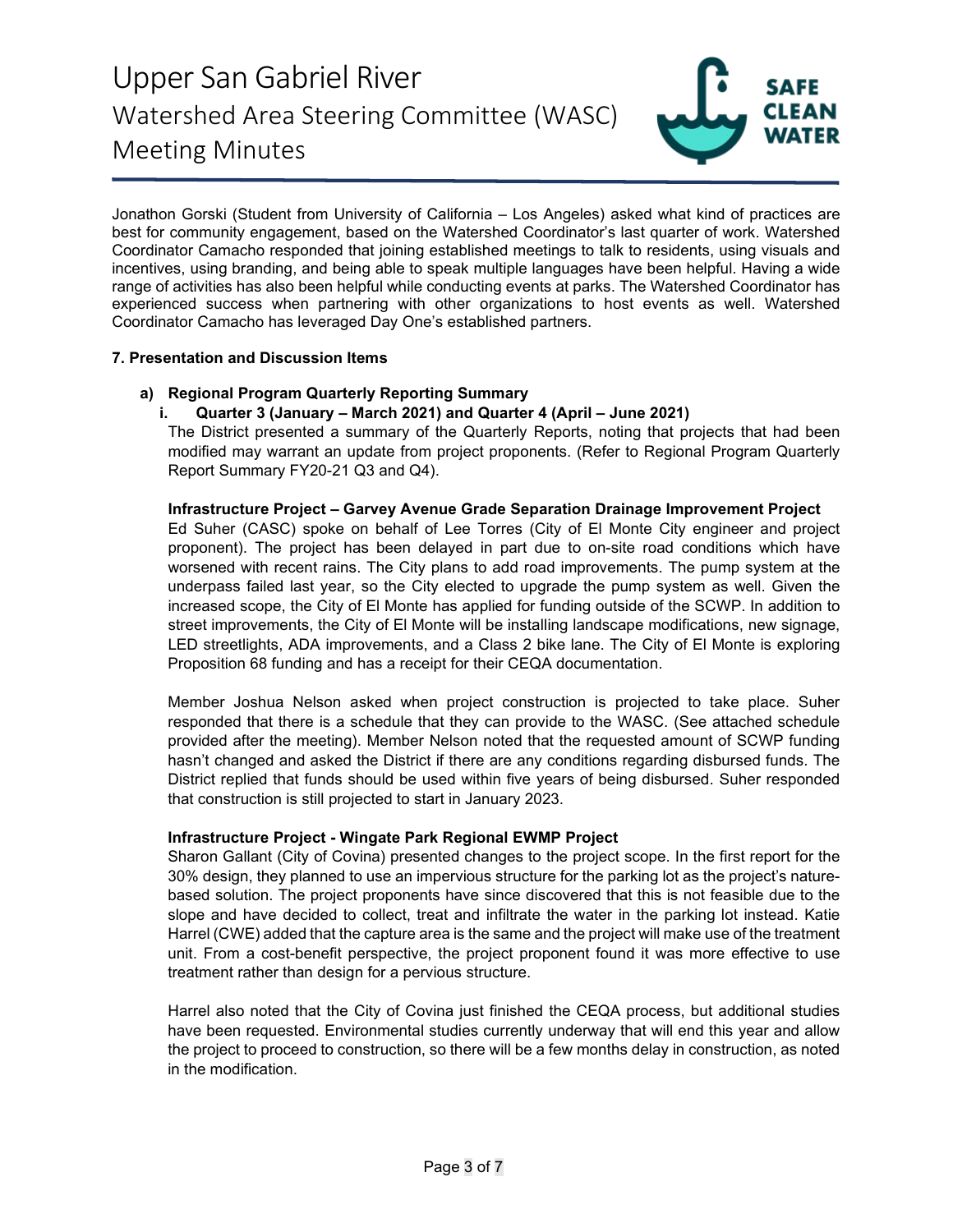

Jonathon Gorski (Student from University of California – Los Angeles) asked what kind of practices are best for community engagement, based on the Watershed Coordinator's last quarter of work. Watershed Coordinator Camacho responded that joining established meetings to talk to residents, using visuals and incentives, using branding, and being able to speak multiple languages have been helpful. Having a wide range of activities has also been helpful while conducting events at parks. The Watershed Coordinator has experienced success when partnering with other organizations to host events as well. Watershed Coordinator Camacho has leveraged Day One's established partners.

## **7. Presentation and Discussion Items**

## **a) Regional Program Quarterly Reporting Summary**

## **i. Quarter 3 (January – March 2021) and Quarter 4 (April – June 2021)**

The District presented a summary of the Quarterly Reports, noting that projects that had been modified may warrant an update from project proponents. (Refer to Regional Program Quarterly Report Summary FY20-21 Q3 and Q4).

## **Infrastructure Project – Garvey Avenue Grade Separation Drainage Improvement Project**

Ed Suher (CASC) spoke on behalf of Lee Torres (City of El Monte City engineer and project proponent). The project has been delayed in part due to on-site road conditions which have worsened with recent rains. The City plans to add road improvements. The pump system at the underpass failed last year, so the City elected to upgrade the pump system as well. Given the increased scope, the City of El Monte has applied for funding outside of the SCWP. In addition to street improvements, the City of El Monte will be installing landscape modifications, new signage, LED streetlights, ADA improvements, and a Class 2 bike lane. The City of El Monte is exploring Proposition 68 funding and has a receipt for their CEQA documentation.

Member Joshua Nelson asked when project construction is projected to take place. Suher responded that there is a schedule that they can provide to the WASC. (See attached schedule provided after the meeting). Member Nelson noted that the requested amount of SCWP funding hasn't changed and asked the District if there are any conditions regarding disbursed funds. The District replied that funds should be used within five years of being disbursed. Suher responded that construction is still projected to start in January 2023.

## **Infrastructure Project - Wingate Park Regional EWMP Project**

Sharon Gallant (City of Covina) presented changes to the project scope. In the first report for the 30% design, they planned to use an impervious structure for the parking lot as the project's naturebased solution. The project proponents have since discovered that this is not feasible due to the slope and have decided to collect, treat and infiltrate the water in the parking lot instead. Katie Harrel (CWE) added that the capture area is the same and the project will make use of the treatment unit. From a cost-benefit perspective, the project proponent found it was more effective to use treatment rather than design for a pervious structure.

Harrel also noted that the City of Covina just finished the CEQA process, but additional studies have been requested. Environmental studies currently underway that will end this year and allow the project to proceed to construction, so there will be a few months delay in construction, as noted in the modification.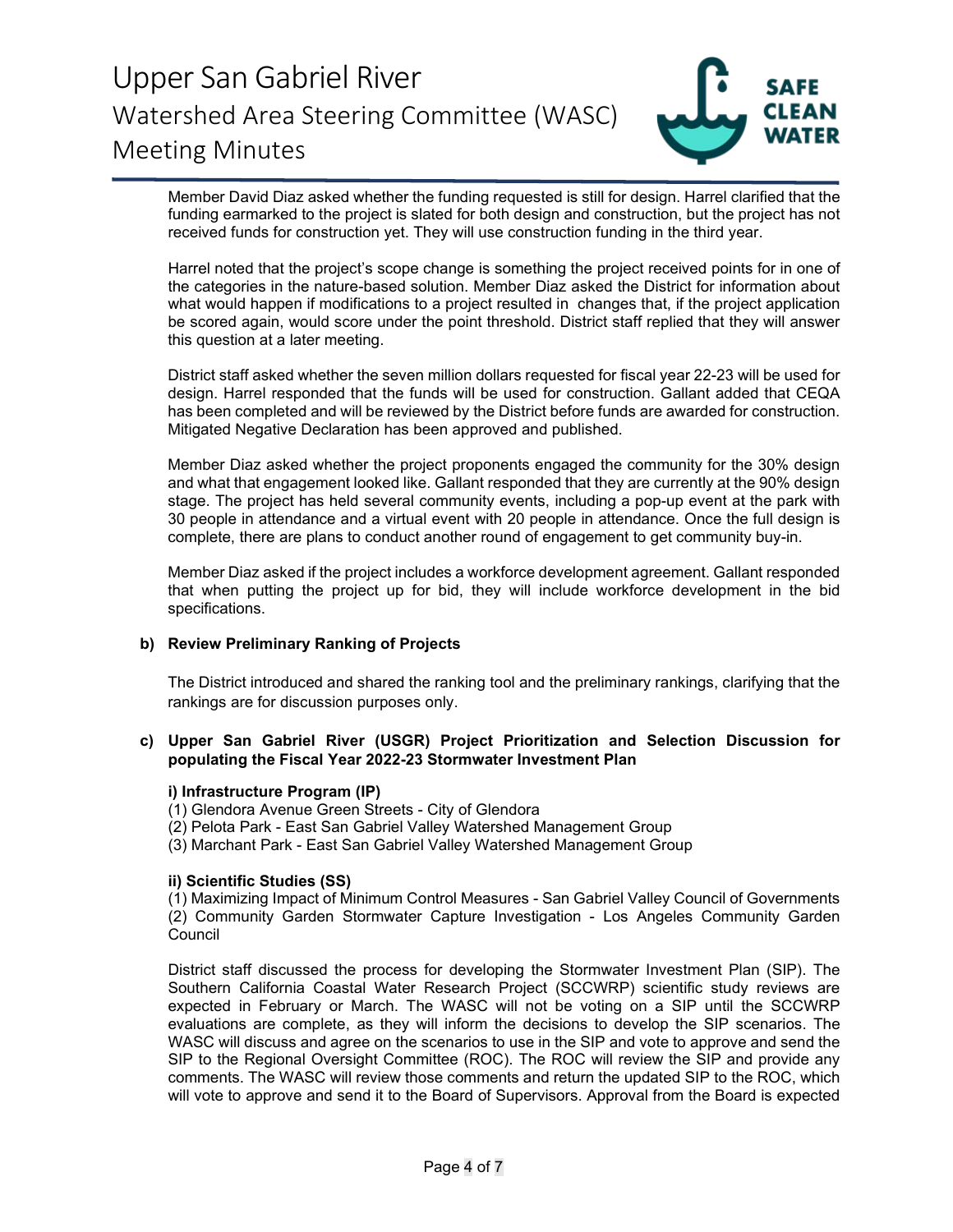

Member David Diaz asked whether the funding requested is still for design. Harrel clarified that the funding earmarked to the project is slated for both design and construction, but the project has not received funds for construction yet. They will use construction funding in the third year.

Harrel noted that the project's scope change is something the project received points for in one of the categories in the nature-based solution. Member Diaz asked the District for information about what would happen if modifications to a project resulted in changes that, if the project application be scored again, would score under the point threshold. District staff replied that they will answer this question at a later meeting.

District staff asked whether the seven million dollars requested for fiscal year 22-23 will be used for design. Harrel responded that the funds will be used for construction. Gallant added that CEQA has been completed and will be reviewed by the District before funds are awarded for construction. Mitigated Negative Declaration has been approved and published.

Member Diaz asked whether the project proponents engaged the community for the 30% design and what that engagement looked like. Gallant responded that they are currently at the 90% design stage. The project has held several community events, including a pop-up event at the park with 30 people in attendance and a virtual event with 20 people in attendance. Once the full design is complete, there are plans to conduct another round of engagement to get community buy-in.

Member Diaz asked if the project includes a workforce development agreement. Gallant responded that when putting the project up for bid, they will include workforce development in the bid specifications.

## **b) Review Preliminary Ranking of Projects**

The District introduced and shared the ranking tool and the preliminary rankings, clarifying that the rankings are for discussion purposes only.

## **c) Upper San Gabriel River (USGR) Project Prioritization and Selection Discussion for populating the Fiscal Year 2022-23 Stormwater Investment Plan**

#### **i) Infrastructure Program (IP)**

(1) Glendora Avenue Green Streets - City of Glendora

(2) Pelota Park - East San Gabriel Valley Watershed Management Group

(3) Marchant Park - East San Gabriel Valley Watershed Management Group

### **ii) Scientific Studies (SS)**

(1) Maximizing Impact of Minimum Control Measures - San Gabriel Valley Council of Governments (2) Community Garden Stormwater Capture Investigation - Los Angeles Community Garden **Council** 

District staff discussed the process for developing the Stormwater Investment Plan (SIP). The Southern California Coastal Water Research Project (SCCWRP) scientific study reviews are expected in February or March. The WASC will not be voting on a SIP until the SCCWRP evaluations are complete, as they will inform the decisions to develop the SIP scenarios. The WASC will discuss and agree on the scenarios to use in the SIP and vote to approve and send the SIP to the Regional Oversight Committee (ROC). The ROC will review the SIP and provide any comments. The WASC will review those comments and return the updated SIP to the ROC, which will vote to approve and send it to the Board of Supervisors. Approval from the Board is expected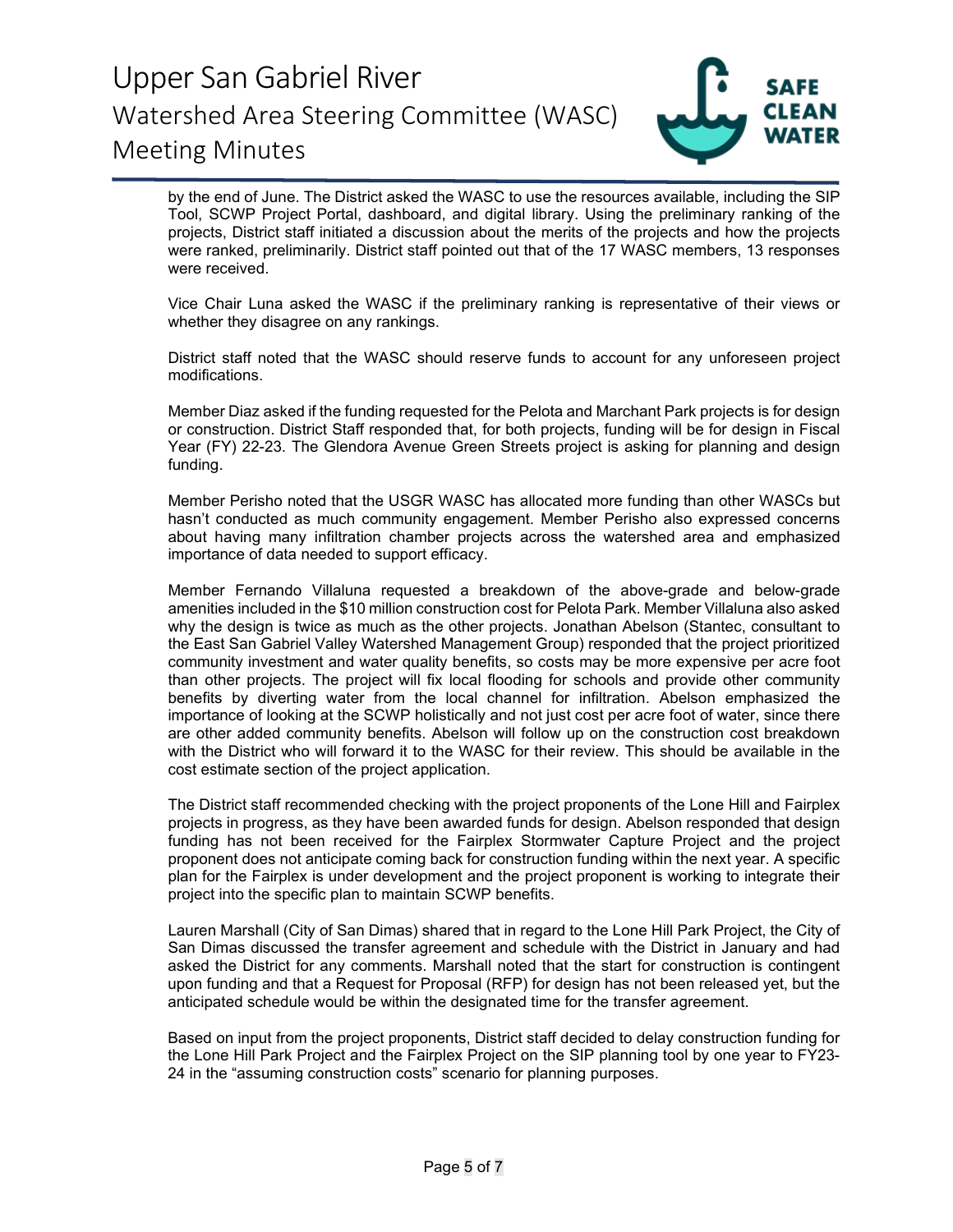

by the end of June. The District asked the WASC to use the resources available, including the SIP Tool, SCWP Project Portal, dashboard, and digital library. Using the preliminary ranking of the projects, District staff initiated a discussion about the merits of the projects and how the projects were ranked, preliminarily. District staff pointed out that of the 17 WASC members, 13 responses were received.

Vice Chair Luna asked the WASC if the preliminary ranking is representative of their views or whether they disagree on any rankings.

District staff noted that the WASC should reserve funds to account for any unforeseen project modifications.

Member Diaz asked if the funding requested for the Pelota and Marchant Park projects is for design or construction. District Staff responded that, for both projects, funding will be for design in Fiscal Year (FY) 22-23. The Glendora Avenue Green Streets project is asking for planning and design funding.

Member Perisho noted that the USGR WASC has allocated more funding than other WASCs but hasn't conducted as much community engagement. Member Perisho also expressed concerns about having many infiltration chamber projects across the watershed area and emphasized importance of data needed to support efficacy.

Member Fernando Villaluna requested a breakdown of the above-grade and below-grade amenities included in the \$10 million construction cost for Pelota Park. Member Villaluna also asked why the design is twice as much as the other projects. Jonathan Abelson (Stantec, consultant to the East San Gabriel Valley Watershed Management Group) responded that the project prioritized community investment and water quality benefits, so costs may be more expensive per acre foot than other projects. The project will fix local flooding for schools and provide other community benefits by diverting water from the local channel for infiltration. Abelson emphasized the importance of looking at the SCWP holistically and not just cost per acre foot of water, since there are other added community benefits. Abelson will follow up on the construction cost breakdown with the District who will forward it to the WASC for their review. This should be available in the cost estimate section of the project application.

The District staff recommended checking with the project proponents of the Lone Hill and Fairplex projects in progress, as they have been awarded funds for design. Abelson responded that design funding has not been received for the Fairplex Stormwater Capture Project and the project proponent does not anticipate coming back for construction funding within the next year. A specific plan for the Fairplex is under development and the project proponent is working to integrate their project into the specific plan to maintain SCWP benefits.

Lauren Marshall (City of San Dimas) shared that in regard to the Lone Hill Park Project, the City of San Dimas discussed the transfer agreement and schedule with the District in January and had asked the District for any comments. Marshall noted that the start for construction is contingent upon funding and that a Request for Proposal (RFP) for design has not been released yet, but the anticipated schedule would be within the designated time for the transfer agreement.

Based on input from the project proponents, District staff decided to delay construction funding for the Lone Hill Park Project and the Fairplex Project on the SIP planning tool by one year to FY23- 24 in the "assuming construction costs" scenario for planning purposes.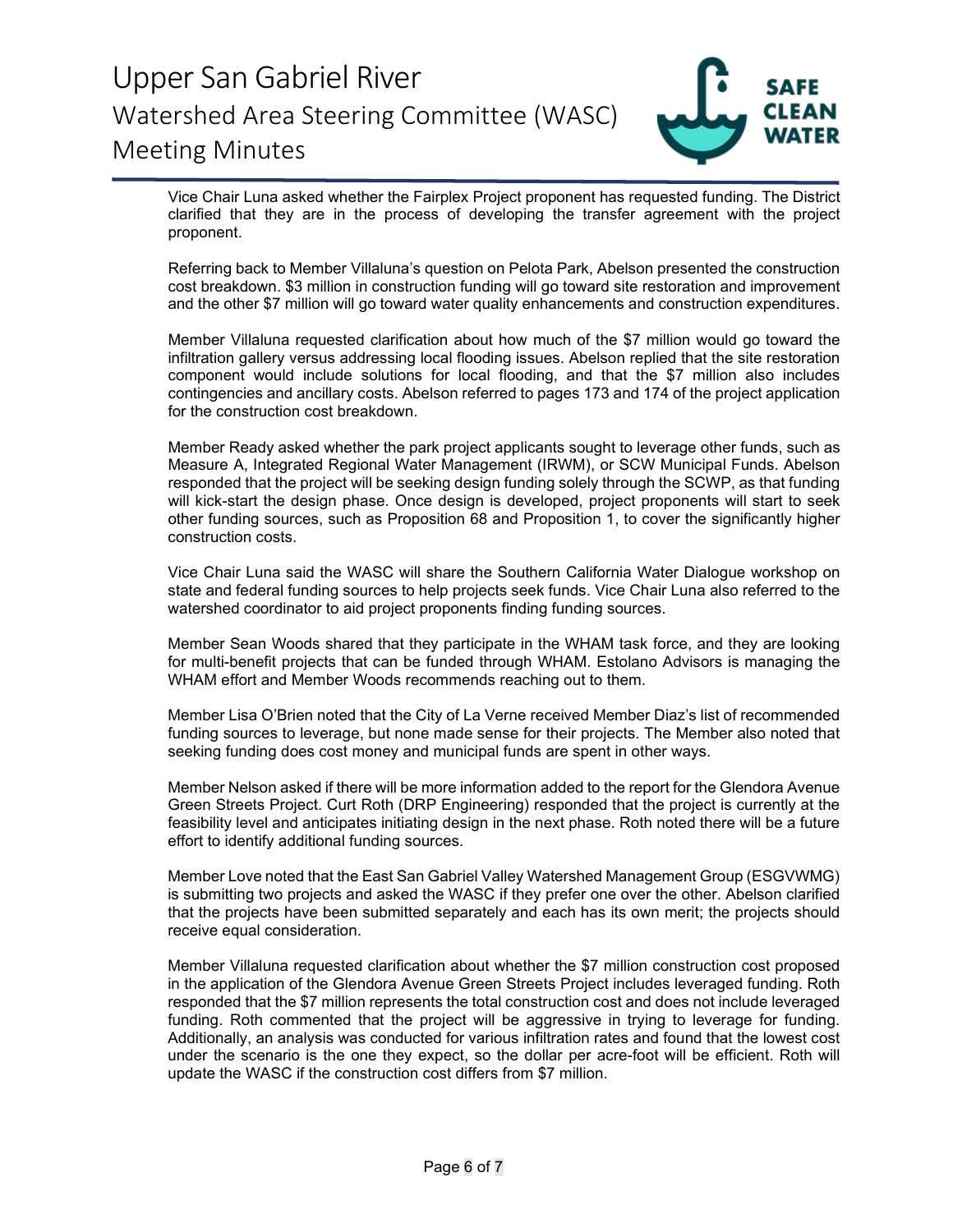

Vice Chair Luna asked whether the Fairplex Project proponent has requested funding. The District clarified that they are in the process of developing the transfer agreement with the project proponent.

Referring back to Member Villaluna's question on Pelota Park, Abelson presented the construction cost breakdown. \$3 million in construction funding will go toward site restoration and improvement and the other \$7 million will go toward water quality enhancements and construction expenditures.

Member Villaluna requested clarification about how much of the \$7 million would go toward the infiltration gallery versus addressing local flooding issues. Abelson replied that the site restoration component would include solutions for local flooding, and that the \$7 million also includes contingencies and ancillary costs. Abelson referred to pages 173 and 174 of the project application for the construction cost breakdown.

Member Ready asked whether the park project applicants sought to leverage other funds, such as Measure A, Integrated Regional Water Management (IRWM), or SCW Municipal Funds. Abelson responded that the project will be seeking design funding solely through the SCWP, as that funding will kick-start the design phase. Once design is developed, project proponents will start to seek other funding sources, such as Proposition 68 and Proposition 1, to cover the significantly higher construction costs.

Vice Chair Luna said the WASC will share the Southern California Water Dialogue workshop on state and federal funding sources to help projects seek funds. Vice Chair Luna also referred to the watershed coordinator to aid project proponents finding funding sources.

Member Sean Woods shared that they participate in the WHAM task force, and they are looking for multi-benefit projects that can be funded through WHAM. Estolano Advisors is managing the WHAM effort and Member Woods recommends reaching out to them.

Member Lisa O'Brien noted that the City of La Verne received Member Diaz's list of recommended funding sources to leverage, but none made sense for their projects. The Member also noted that seeking funding does cost money and municipal funds are spent in other ways.

Member Nelson asked if there will be more information added to the report for the Glendora Avenue Green Streets Project. Curt Roth (DRP Engineering) responded that the project is currently at the feasibility level and anticipates initiating design in the next phase. Roth noted there will be a future effort to identify additional funding sources.

Member Love noted that the East San Gabriel Valley Watershed Management Group (ESGVWMG) is submitting two projects and asked the WASC if they prefer one over the other. Abelson clarified that the projects have been submitted separately and each has its own merit; the projects should receive equal consideration.

Member Villaluna requested clarification about whether the \$7 million construction cost proposed in the application of the Glendora Avenue Green Streets Project includes leveraged funding. Roth responded that the \$7 million represents the total construction cost and does not include leveraged funding. Roth commented that the project will be aggressive in trying to leverage for funding. Additionally, an analysis was conducted for various infiltration rates and found that the lowest cost under the scenario is the one they expect, so the dollar per acre-foot will be efficient. Roth will update the WASC if the construction cost differs from \$7 million.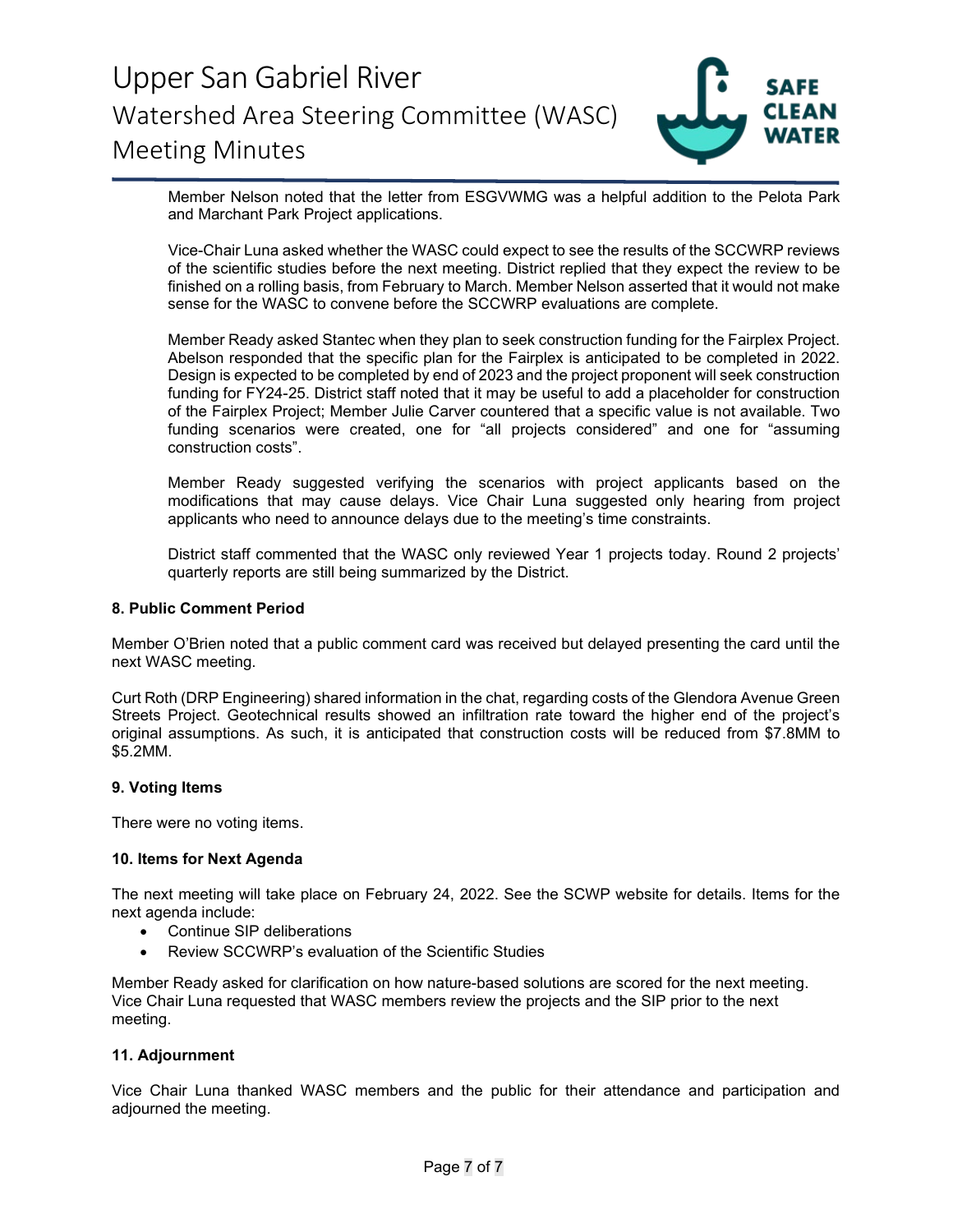

Member Nelson noted that the letter from ESGVWMG was a helpful addition to the Pelota Park and Marchant Park Project applications.

Vice-Chair Luna asked whether the WASC could expect to see the results of the SCCWRP reviews of the scientific studies before the next meeting. District replied that they expect the review to be finished on a rolling basis, from February to March. Member Nelson asserted that it would not make sense for the WASC to convene before the SCCWRP evaluations are complete.

Member Ready asked Stantec when they plan to seek construction funding for the Fairplex Project. Abelson responded that the specific plan for the Fairplex is anticipated to be completed in 2022. Design is expected to be completed by end of 2023 and the project proponent will seek construction funding for FY24-25. District staff noted that it may be useful to add a placeholder for construction of the Fairplex Project; Member Julie Carver countered that a specific value is not available. Two funding scenarios were created, one for "all projects considered" and one for "assuming construction costs".

Member Ready suggested verifying the scenarios with project applicants based on the modifications that may cause delays. Vice Chair Luna suggested only hearing from project applicants who need to announce delays due to the meeting's time constraints.

District staff commented that the WASC only reviewed Year 1 projects today. Round 2 projects' quarterly reports are still being summarized by the District.

#### **8. Public Comment Period**

Member O'Brien noted that a public comment card was received but delayed presenting the card until the next WASC meeting.

Curt Roth (DRP Engineering) shared information in the chat, regarding costs of the Glendora Avenue Green Streets Project. Geotechnical results showed an infiltration rate toward the higher end of the project's original assumptions. As such, it is anticipated that construction costs will be reduced from \$7.8MM to \$5.2MM.

### **9. Voting Items**

There were no voting items.

#### **10. Items for Next Agenda**

The next meeting will take place on February 24, 2022. See the SCWP website for details. Items for the next agenda include:

- Continue SIP deliberations
- Review SCCWRP's evaluation of the Scientific Studies

Member Ready asked for clarification on how nature-based solutions are scored for the next meeting. Vice Chair Luna requested that WASC members review the projects and the SIP prior to the next meeting.

#### **11. Adjournment**

Vice Chair Luna thanked WASC members and the public for their attendance and participation and adjourned the meeting.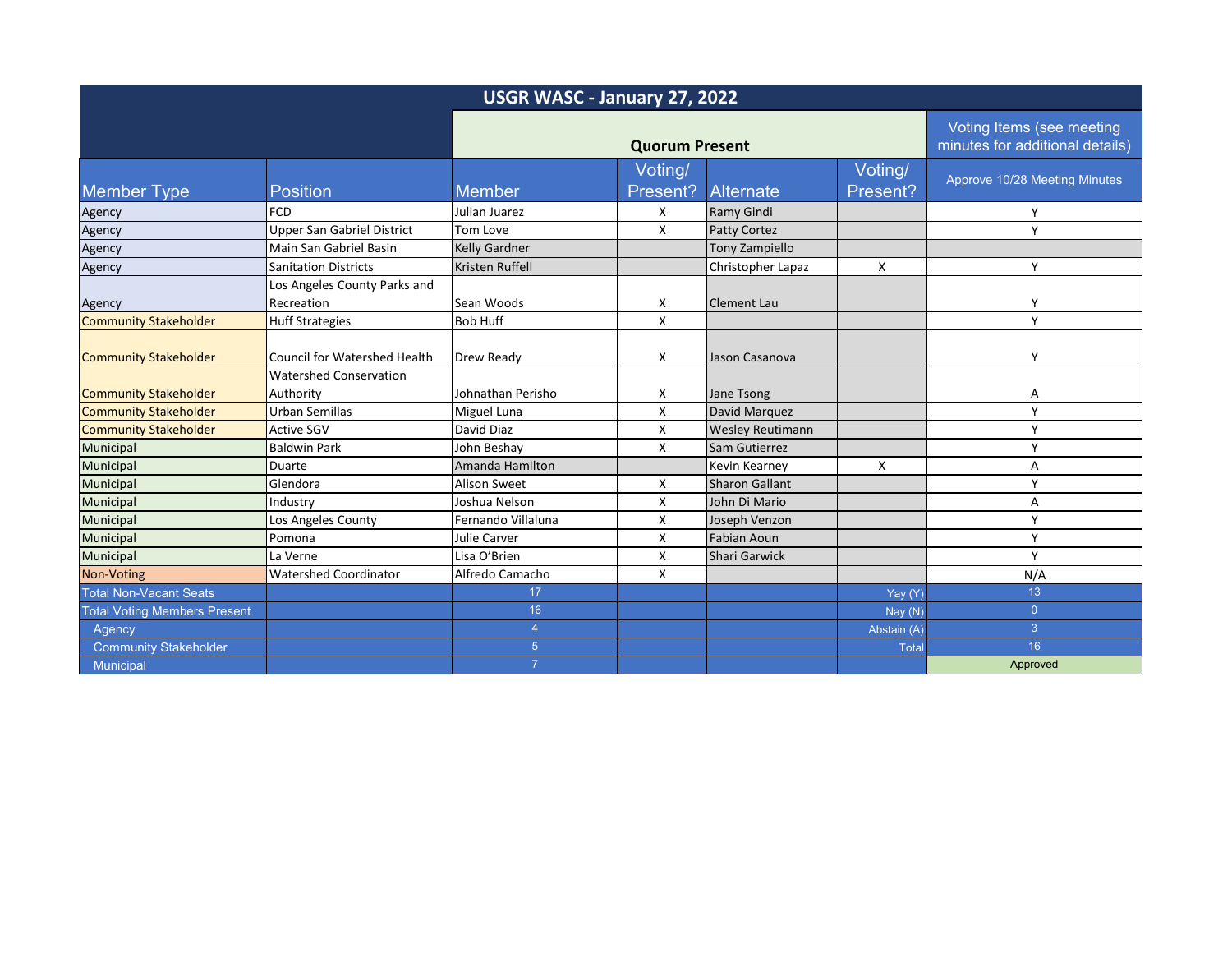| USGR WASC - January 27, 2022        |                                                                      |                       |                     |                         |                                                              |                               |  |
|-------------------------------------|----------------------------------------------------------------------|-----------------------|---------------------|-------------------------|--------------------------------------------------------------|-------------------------------|--|
|                                     |                                                                      | <b>Quorum Present</b> |                     |                         | Voting Items (see meeting<br>minutes for additional details) |                               |  |
| <b>Member Type</b>                  | Position                                                             | Member                | Voting/<br>Present? | Alternate               | Voting/<br>Present?                                          | Approve 10/28 Meeting Minutes |  |
| Agency                              | <b>FCD</b>                                                           | Julian Juarez         | X                   | Ramy Gindi              |                                                              | Y                             |  |
| Agency                              | <b>Upper San Gabriel District</b>                                    | Tom Love              | X                   | <b>Patty Cortez</b>     |                                                              | Y                             |  |
| Agency                              | Main San Gabriel Basin                                               | Kelly Gardner         |                     | <b>Tony Zampiello</b>   |                                                              |                               |  |
| Agency                              | <b>Sanitation Districts</b>                                          | Kristen Ruffell       |                     | Christopher Lapaz       | X                                                            | Υ                             |  |
| Agency                              | Los Angeles County Parks and<br>Recreation                           | Sean Woods            | х                   | <b>Clement Lau</b>      |                                                              | γ                             |  |
| <b>Community Stakeholder</b>        | <b>Huff Strategies</b>                                               | <b>Bob Huff</b>       | X                   |                         |                                                              | Y                             |  |
| <b>Community Stakeholder</b>        | <b>Council for Watershed Health</b><br><b>Watershed Conservation</b> | <b>Drew Ready</b>     | X                   | Jason Casanova          |                                                              | Υ                             |  |
| <b>Community Stakeholder</b>        | Authority                                                            | Johnathan Perisho     | х                   | Jane Tsong              |                                                              | А                             |  |
| <b>Community Stakeholder</b>        | Urban Semillas                                                       | Miguel Luna           | X                   | David Marquez           |                                                              | Y                             |  |
| <b>Community Stakeholder</b>        | <b>Active SGV</b>                                                    | David Diaz            | X                   | <b>Wesley Reutimann</b> |                                                              | Υ                             |  |
| Municipal                           | <b>Baldwin Park</b>                                                  | John Beshay           | X                   | Sam Gutierrez           |                                                              | γ                             |  |
| Municipal                           | Duarte                                                               | Amanda Hamilton       |                     | Kevin Kearney           | X                                                            | А                             |  |
| Municipal                           | Glendora                                                             | <b>Alison Sweet</b>   | X                   | <b>Sharon Gallant</b>   |                                                              | Υ                             |  |
| Municipal                           | Industry                                                             | Joshua Nelson         | X                   | John Di Mario           |                                                              | A                             |  |
| Municipal                           | Los Angeles County                                                   | Fernando Villaluna    | X                   | Joseph Venzon           |                                                              | Υ                             |  |
| Municipal                           | Pomona                                                               | Julie Carver          | X                   | <b>Fabian Aoun</b>      |                                                              | Υ                             |  |
| Municipal                           | La Verne                                                             | Lisa O'Brien          | X                   | <b>Shari Garwick</b>    |                                                              | Y                             |  |
| Non-Voting                          | <b>Watershed Coordinator</b>                                         | Alfredo Camacho       | X                   |                         |                                                              | N/A                           |  |
| <b>Total Non-Vacant Seats</b>       |                                                                      | 17                    |                     |                         | Yay (Y)                                                      | 13                            |  |
| <b>Total Voting Members Present</b> |                                                                      | 16                    |                     |                         | Nay(N)                                                       | $\overline{0}$                |  |
| Agency                              |                                                                      | $\overline{4}$        |                     |                         | Abstain (A)                                                  | 3                             |  |
| <b>Community Stakeholder</b>        |                                                                      | 5 <sup>1</sup>        |                     |                         | Total                                                        | 16                            |  |
| Municipal                           |                                                                      | $\overline{7}$        |                     |                         |                                                              | Approved                      |  |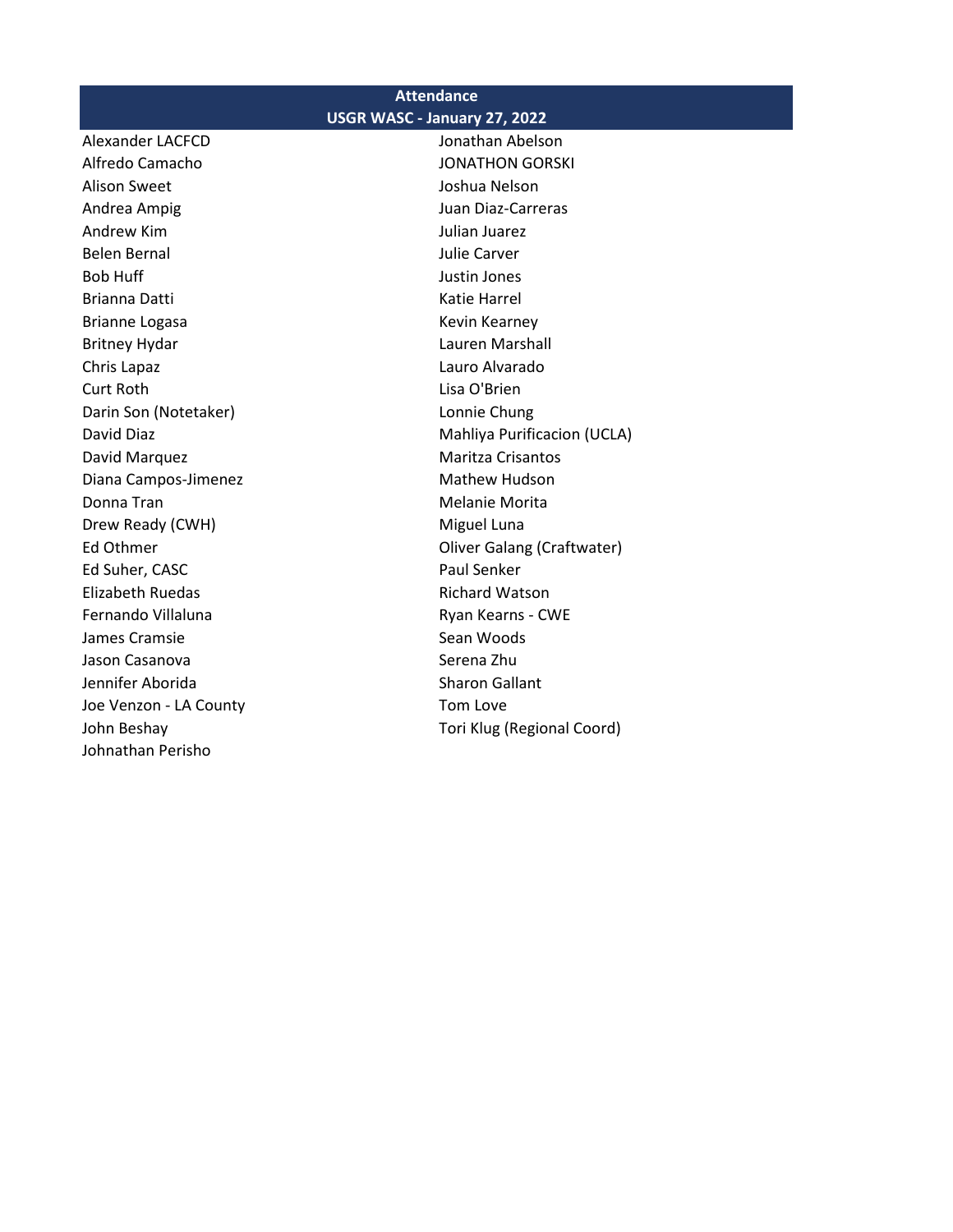| <b>Attendance</b>            |                                   |  |  |  |  |  |
|------------------------------|-----------------------------------|--|--|--|--|--|
| USGR WASC - January 27, 2022 |                                   |  |  |  |  |  |
| Alexander LACFCD             | Jonathan Abelson                  |  |  |  |  |  |
| Alfredo Camacho              | <b>JONATHON GORSKI</b>            |  |  |  |  |  |
| <b>Alison Sweet</b>          | Joshua Nelson                     |  |  |  |  |  |
| Andrea Ampig                 | Juan Diaz-Carreras                |  |  |  |  |  |
| <b>Andrew Kim</b>            | Julian Juarez                     |  |  |  |  |  |
| <b>Belen Bernal</b>          | <b>Julie Carver</b>               |  |  |  |  |  |
| <b>Bob Huff</b>              | Justin Jones                      |  |  |  |  |  |
| Brianna Datti                | <b>Katie Harrel</b>               |  |  |  |  |  |
| <b>Brianne Logasa</b>        | Kevin Kearney                     |  |  |  |  |  |
| <b>Britney Hydar</b>         | Lauren Marshall                   |  |  |  |  |  |
| Chris Lapaz                  | Lauro Alvarado                    |  |  |  |  |  |
| Curt Roth                    | Lisa O'Brien                      |  |  |  |  |  |
| Darin Son (Notetaker)        | Lonnie Chung                      |  |  |  |  |  |
| David Diaz                   | Mahliya Purificacion (UCLA)       |  |  |  |  |  |
| David Marquez                | Maritza Crisantos                 |  |  |  |  |  |
| Diana Campos-Jimenez         | Mathew Hudson                     |  |  |  |  |  |
| Donna Tran                   | <b>Melanie Morita</b>             |  |  |  |  |  |
| Drew Ready (CWH)             | Miguel Luna                       |  |  |  |  |  |
| Ed Othmer                    | <b>Oliver Galang (Craftwater)</b> |  |  |  |  |  |
| Ed Suher, CASC               | Paul Senker                       |  |  |  |  |  |
| <b>Elizabeth Ruedas</b>      | <b>Richard Watson</b>             |  |  |  |  |  |
| Fernando Villaluna           | Ryan Kearns - CWE                 |  |  |  |  |  |
| James Cramsie                | Sean Woods                        |  |  |  |  |  |
| Jason Casanova               | Serena Zhu                        |  |  |  |  |  |
| Jennifer Aborida             | <b>Sharon Gallant</b>             |  |  |  |  |  |
| Joe Venzon - LA County       | Tom Love                          |  |  |  |  |  |

John Beshay Tori Klug (Regional Coord)

Johnathan Perisho